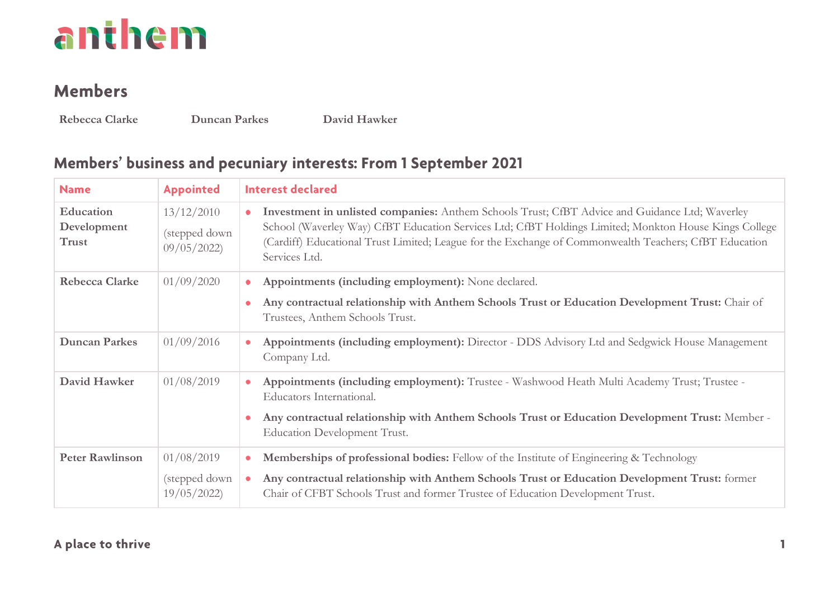#### **Members**

**Rebecca Clarke Duncan Parkes David Hawker**

#### Members' business and pecuniary interests: From 1 September 2021

| <b>Name</b>                       | <b>Appointed</b>                          | <b>Interest declared</b>                                                                                                                                                                                                                                                                                                                       |
|-----------------------------------|-------------------------------------------|------------------------------------------------------------------------------------------------------------------------------------------------------------------------------------------------------------------------------------------------------------------------------------------------------------------------------------------------|
| Education<br>Development<br>Trust | 13/12/2010<br>(stepped down<br>09/05/2022 | Investment in unlisted companies: Anthem Schools Trust; CfBT Advice and Guidance Ltd; Waverley<br>$\bullet$<br>School (Waverley Way) CfBT Education Services Ltd; CfBT Holdings Limited; Monkton House Kings College<br>(Cardiff) Educational Trust Limited; League for the Exchange of Commonwealth Teachers; CfBT Education<br>Services Ltd. |
| <b>Rebecca Clarke</b>             | 01/09/2020                                | Appointments (including employment): None declared.<br>۰<br>Any contractual relationship with Anthem Schools Trust or Education Development Trust: Chair of<br>۰<br>Trustees, Anthem Schools Trust.                                                                                                                                            |
| <b>Duncan Parkes</b>              | 01/09/2016                                | Appointments (including employment): Director - DDS Advisory Ltd and Sedgwick House Management<br>$\bullet$<br>Company Ltd.                                                                                                                                                                                                                    |
| David Hawker                      | 01/08/2019                                | Appointments (including employment): Trustee - Washwood Heath Multi Academy Trust; Trustee -<br>$\bullet$<br>Educators International.<br>Any contractual relationship with Anthem Schools Trust or Education Development Trust: Member -<br>۰<br>Education Development Trust.                                                                  |
| <b>Peter Rawlinson</b>            | 01/08/2019<br>(stepped down<br>19/05/2022 | Memberships of professional bodies: Fellow of the Institute of Engineering & Technology<br>۰<br>Any contractual relationship with Anthem Schools Trust or Education Development Trust: former<br>Chair of CFBT Schools Trust and former Trustee of Education Development Trust.                                                                |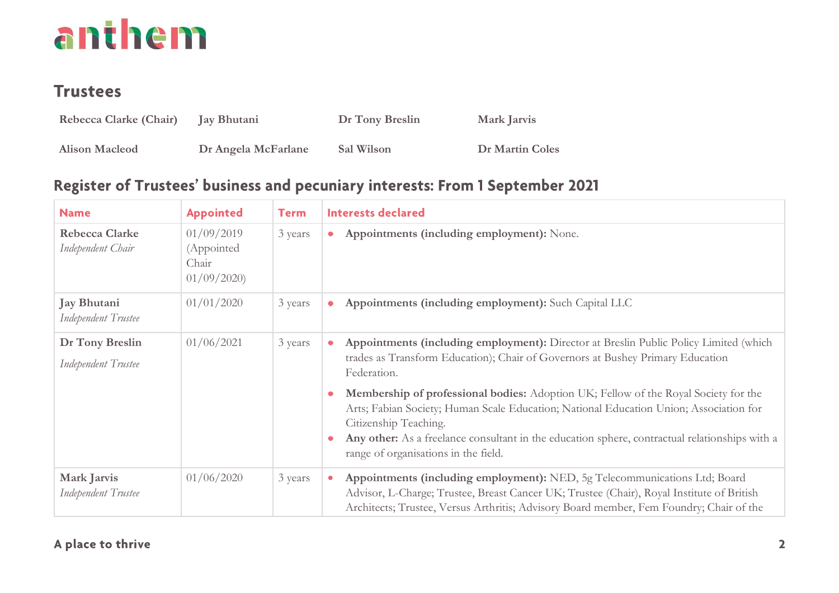### **Trustees**

| Rebecca Clarke (Chair) | Jay Bhutani         | Dr Tony Breslin | Mark Jarvis            |
|------------------------|---------------------|-----------------|------------------------|
| <b>Alison Macleod</b>  | Dr Angela McFarlane | Sal Wilson      | <b>Dr Martin Coles</b> |

#### Register of Trustees' business and pecuniary interests: From 1 September 2021

| <b>Name</b>                                | <b>Appointed</b>                                | <b>Term</b> | <b>Interests declared</b>                                                                                                                                                                                                                                                                                                                                                                                                                                                                                                                  |
|--------------------------------------------|-------------------------------------------------|-------------|--------------------------------------------------------------------------------------------------------------------------------------------------------------------------------------------------------------------------------------------------------------------------------------------------------------------------------------------------------------------------------------------------------------------------------------------------------------------------------------------------------------------------------------------|
| <b>Rebecca Clarke</b><br>Independent Chair | 01/09/2019<br>(Appointed<br>Chair<br>01/09/2020 | 3 years     | Appointments (including employment): None.<br>۰                                                                                                                                                                                                                                                                                                                                                                                                                                                                                            |
| Jay Bhutani<br>Independent Trustee         | 01/01/2020                                      | 3 years     | Appointments (including employment): Such Capital LLC<br>٠                                                                                                                                                                                                                                                                                                                                                                                                                                                                                 |
| Dr Tony Breslin<br>Independent Trustee     | 01/06/2021                                      | 3 years     | Appointments (including employment): Director at Breslin Public Policy Limited (which<br>trades as Transform Education); Chair of Governors at Bushey Primary Education<br>Federation.<br>Membership of professional bodies: Adoption UK; Fellow of the Royal Society for the<br>Arts; Fabian Society; Human Scale Education; National Education Union; Association for<br>Citizenship Teaching.<br>Any other: As a freelance consultant in the education sphere, contractual relationships with a<br>range of organisations in the field. |
| Mark Jarvis<br>Independent Trustee         | 01/06/2020                                      | 3 years     | Appointments (including employment): NED, 5g Telecommunications Ltd; Board<br>$\bullet$<br>Advisor, L-Charge; Trustee, Breast Cancer UK; Trustee (Chair), Royal Institute of British<br>Architects; Trustee, Versus Arthritis; Advisory Board member, Fem Foundry; Chair of the                                                                                                                                                                                                                                                            |

#### A place to thrive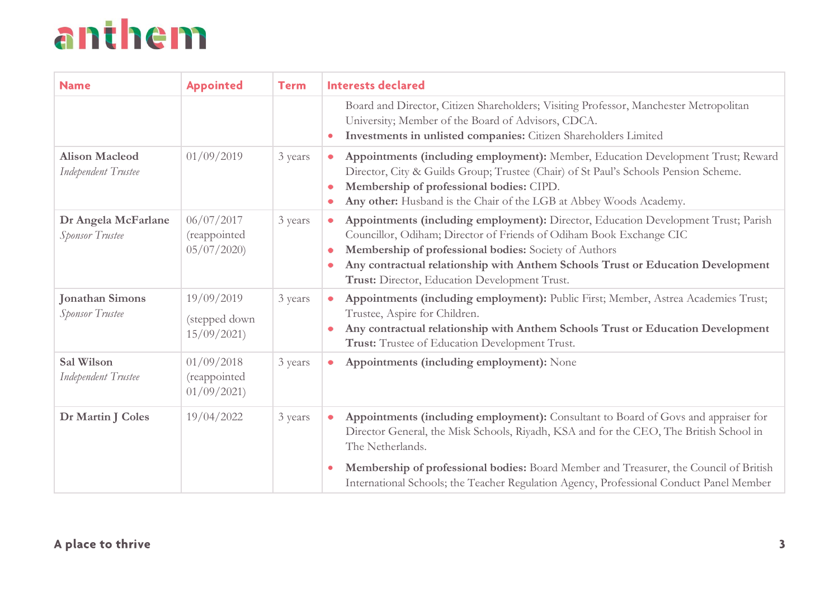| <b>Name</b>                                   | <b>Appointed</b>                          | <b>Term</b> | <b>Interests declared</b>                                                                                                                                                                                                                                                                                                                                        |  |  |  |
|-----------------------------------------------|-------------------------------------------|-------------|------------------------------------------------------------------------------------------------------------------------------------------------------------------------------------------------------------------------------------------------------------------------------------------------------------------------------------------------------------------|--|--|--|
|                                               |                                           |             | Board and Director, Citizen Shareholders; Visiting Professor, Manchester Metropolitan<br>University; Member of the Board of Advisors, CDCA.<br>Investments in unlisted companies: Citizen Shareholders Limited<br>$\bullet$                                                                                                                                      |  |  |  |
| <b>Alison Macleod</b><br>Independent Trustee  | 01/09/2019                                | 3 years     | Appointments (including employment): Member, Education Development Trust; Reward<br>۰<br>Director, City & Guilds Group; Trustee (Chair) of St Paul's Schools Pension Scheme.<br>Membership of professional bodies: CIPD.<br>Any other: Husband is the Chair of the LGB at Abbey Woods Academy.                                                                   |  |  |  |
| Dr Angela McFarlane<br><b>Sponsor Trustee</b> | 06/07/2017<br>(reappointed<br>05/07/2020  | 3 years     | Appointments (including employment): Director, Education Development Trust; Parish<br>۰<br>Councillor, Odiham; Director of Friends of Odiham Book Exchange CIC<br>Membership of professional bodies: Society of Authors<br>Any contractual relationship with Anthem Schools Trust or Education Development<br>٠<br>Trust: Director, Education Development Trust. |  |  |  |
| <b>Jonathan Simons</b><br>Sponsor Trustee     | 19/09/2019<br>(stepped down<br>15/09/2021 | 3 years     | Appointments (including employment): Public First; Member, Astrea Academies Trust;<br>Trustee, Aspire for Children.<br>Any contractual relationship with Anthem Schools Trust or Education Development<br>Trust: Trustee of Education Development Trust.                                                                                                         |  |  |  |
| Sal Wilson<br>Independent Trustee             | 01/09/2018<br>(reappointed<br>01/09/2021  | 3 years     | Appointments (including employment): None                                                                                                                                                                                                                                                                                                                        |  |  |  |
| Dr Martin J Coles                             | 19/04/2022                                | 3 years     | Appointments (including employment): Consultant to Board of Govs and appraiser for<br>۰<br>Director General, the Misk Schools, Riyadh, KSA and for the CEO, The British School in<br>The Netherlands.                                                                                                                                                            |  |  |  |
|                                               |                                           |             | Membership of professional bodies: Board Member and Treasurer, the Council of British<br>$\bullet$<br>International Schools; the Teacher Regulation Agency, Professional Conduct Panel Member                                                                                                                                                                    |  |  |  |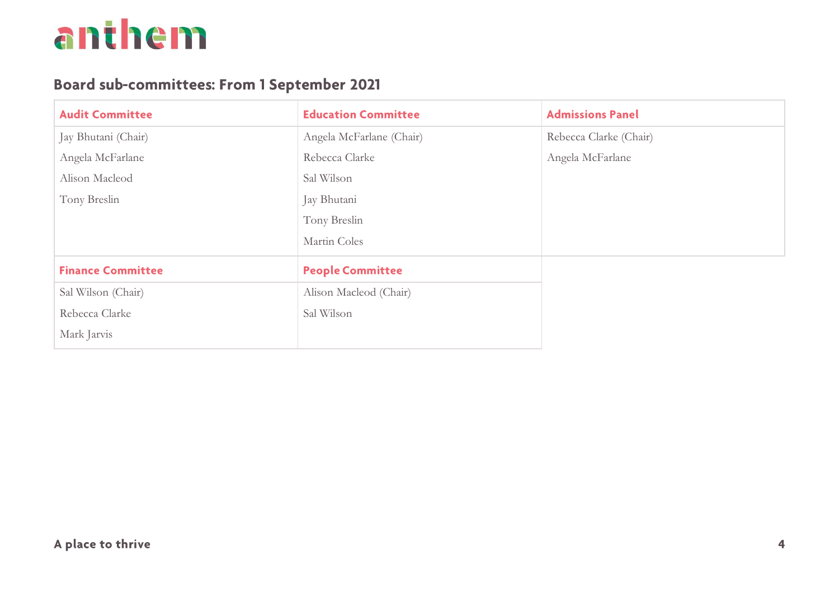#### **Board sub-committees: From 1 September 2021**

| <b>Audit Committee</b>   | <b>Education Committee</b> | <b>Admissions Panel</b> |
|--------------------------|----------------------------|-------------------------|
| Jay Bhutani (Chair)      | Angela McFarlane (Chair)   | Rebecca Clarke (Chair)  |
| Angela McFarlane         | Rebecca Clarke             | Angela McFarlane        |
| Alison Macleod           | Sal Wilson                 |                         |
| Tony Breslin             | Jay Bhutani                |                         |
|                          | Tony Breslin               |                         |
|                          | Martin Coles               |                         |
| <b>Finance Committee</b> | <b>People Committee</b>    |                         |
| Sal Wilson (Chair)       | Alison Macleod (Chair)     |                         |
| Rebecca Clarke           | Sal Wilson                 |                         |
| Mark Jarvis              |                            |                         |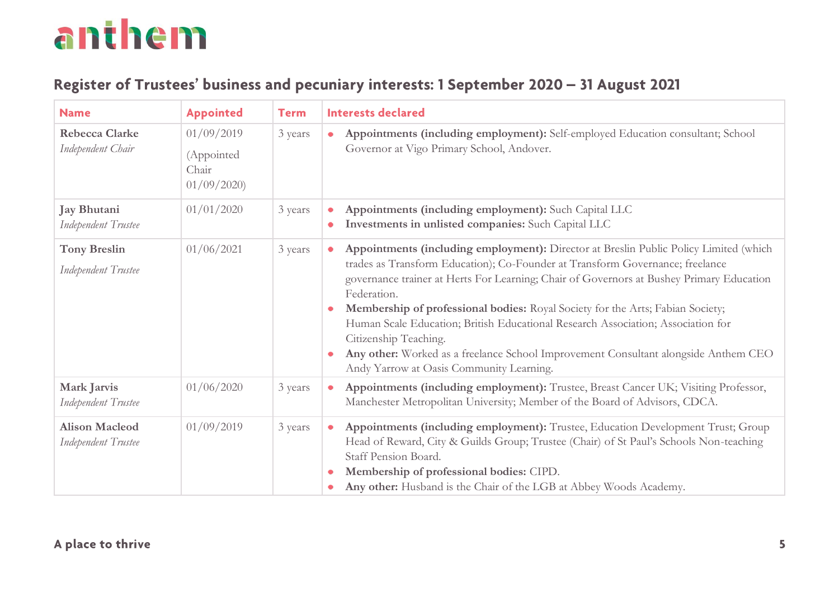#### Register of Trustees' business and pecuniary interests: 1 September 2020 - 31 August 2021

| <b>Name</b>                                  | <b>Appointed</b>                                | <b>Term</b> | <b>Interests declared</b>                                                                                                                                                                                                                                                                                                                                                                                                                                                                                                                                                                                                                          |  |  |
|----------------------------------------------|-------------------------------------------------|-------------|----------------------------------------------------------------------------------------------------------------------------------------------------------------------------------------------------------------------------------------------------------------------------------------------------------------------------------------------------------------------------------------------------------------------------------------------------------------------------------------------------------------------------------------------------------------------------------------------------------------------------------------------------|--|--|
| <b>Rebecca Clarke</b><br>Independent Chair   | 01/09/2019<br>(Appointed<br>Chair<br>01/09/2020 | 3 years     | Appointments (including employment): Self-employed Education consultant; School<br>$\bullet$<br>Governor at Vigo Primary School, Andover.                                                                                                                                                                                                                                                                                                                                                                                                                                                                                                          |  |  |
| Jay Bhutani<br>Independent Trustee           | 01/01/2020                                      | 3 years     | Appointments (including employment): Such Capital LLC<br>Investments in unlisted companies: Such Capital LLC                                                                                                                                                                                                                                                                                                                                                                                                                                                                                                                                       |  |  |
| <b>Tony Breslin</b><br>Independent Trustee   | 01/06/2021                                      | 3 years     | Appointments (including employment): Director at Breslin Public Policy Limited (which<br>$\bullet$<br>trades as Transform Education); Co-Founder at Transform Governance; freelance<br>governance trainer at Herts For Learning; Chair of Governors at Bushey Primary Education<br>Federation.<br>Membership of professional bodies: Royal Society for the Arts; Fabian Society;<br>$\bullet$<br>Human Scale Education; British Educational Research Association; Association for<br>Citizenship Teaching.<br>Any other: Worked as a freelance School Improvement Consultant alongside Anthem CEO<br>۰<br>Andy Yarrow at Oasis Community Learning. |  |  |
| Mark Jarvis<br>Independent Trustee           | 01/06/2020                                      | 3 years     | Appointments (including employment): Trustee, Breast Cancer UK; Visiting Professor,<br>۰<br>Manchester Metropolitan University; Member of the Board of Advisors, CDCA.                                                                                                                                                                                                                                                                                                                                                                                                                                                                             |  |  |
| <b>Alison Macleod</b><br>Independent Trustee | 01/09/2019                                      | 3 years     | Appointments (including employment): Trustee, Education Development Trust; Group<br>۰<br>Head of Reward, City & Guilds Group; Trustee (Chair) of St Paul's Schools Non-teaching<br>Staff Pension Board.<br>Membership of professional bodies: CIPD.<br>Any other: Husband is the Chair of the LGB at Abbey Woods Academy.                                                                                                                                                                                                                                                                                                                          |  |  |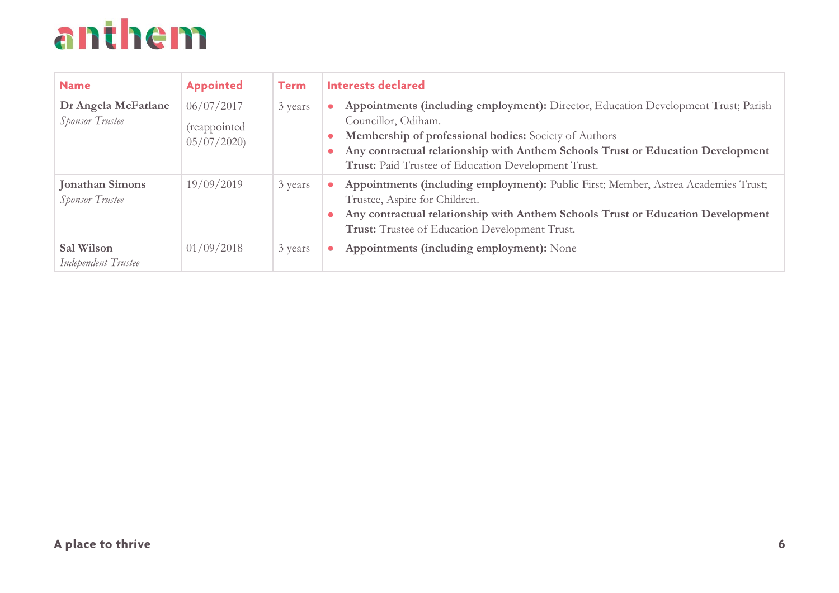| <b>Name</b>                                      | <b>Appointed</b>                         | <b>Term</b> | <b>Interests declared</b>                                                                                                                                                                                                                                                                                         |
|--------------------------------------------------|------------------------------------------|-------------|-------------------------------------------------------------------------------------------------------------------------------------------------------------------------------------------------------------------------------------------------------------------------------------------------------------------|
| Dr Angela McFarlane<br><b>Sponsor Trustee</b>    | 06/07/2017<br>(reappointed<br>05/07/2020 | 3 years     | Appointments (including employment): Director, Education Development Trust; Parish<br>Councillor, Odiham.<br>Membership of professional bodies: Society of Authors<br>۰<br>Any contractual relationship with Anthem Schools Trust or Education Development<br>Trust: Paid Trustee of Education Development Trust. |
| <b>Jonathan Simons</b><br><b>Sponsor Trustee</b> | 19/09/2019                               | 3 years     | Appointments (including employment): Public First; Member, Astrea Academies Trust;<br>Trustee, Aspire for Children.<br>Any contractual relationship with Anthem Schools Trust or Education Development<br>۰<br>Trust: Trustee of Education Development Trust.                                                     |
| Sal Wilson<br>Independent Trustee                | 01/09/2018                               | 3 years     | Appointments (including employment): None                                                                                                                                                                                                                                                                         |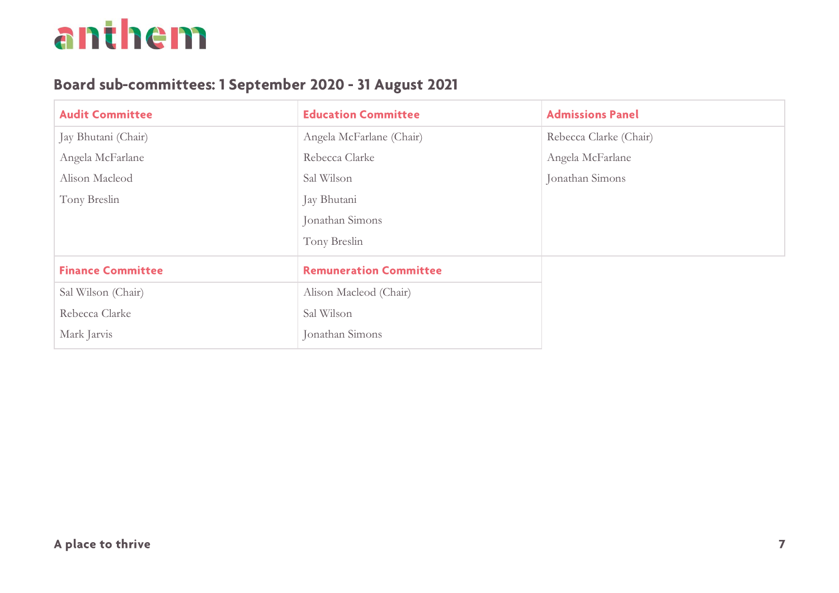#### Board sub-committees: 1 September 2020 - 31 August 2021

| <b>Audit Committee</b>   | <b>Education Committee</b>    | <b>Admissions Panel</b> |
|--------------------------|-------------------------------|-------------------------|
| Jay Bhutani (Chair)      | Angela McFarlane (Chair)      | Rebecca Clarke (Chair)  |
| Angela McFarlane         | Rebecca Clarke                | Angela McFarlane        |
| Alison Macleod           | Sal Wilson                    | Jonathan Simons         |
| Tony Breslin             | Jay Bhutani                   |                         |
|                          | Jonathan Simons               |                         |
|                          | Tony Breslin                  |                         |
| <b>Finance Committee</b> | <b>Remuneration Committee</b> |                         |
| Sal Wilson (Chair)       | Alison Macleod (Chair)        |                         |
| Rebecca Clarke           | Sal Wilson                    |                         |
| Mark Jarvis              | Jonathan Simons               |                         |